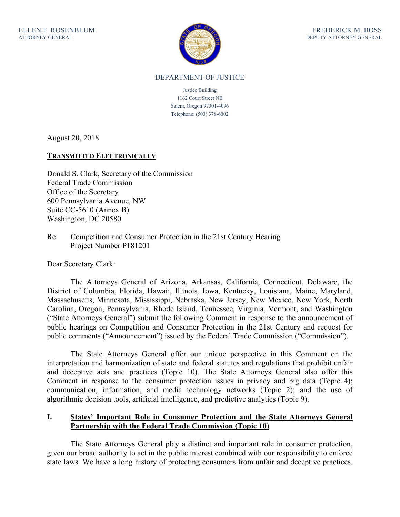

#### DEPARTMENT OF JUSTICE

Justice Building 1162 Court Street NE Salem, Oregon 97301-4096 Telephone: (503) 378-6002

August 20, 2018

#### **TRANSMITTED ELECTRONICALLY**

Donald S. Clark, Secretary of the Commission Federal Trade Commission Office of the Secretary 600 Pennsylvania Avenue, NW Suite CC-5610 (Annex B) Washington, DC 20580

Re: Competition and Consumer Protection in the 21st Century Hearing Project Number P181201

Dear Secretary Clark:

The Attorneys General of Arizona, Arkansas, California, Connecticut, Delaware, the District of Columbia, Florida, Hawaii, Illinois, Iowa, Kentucky, Louisiana, Maine, Maryland, Massachusetts, Minnesota, Mississippi, Nebraska, New Jersey, New Mexico, New York, North Carolina, Oregon, Pennsylvania, Rhode Island, Tennessee, Virginia, Vermont, and Washington ("State Attorneys General") submit the following Comment in response to the announcement of public hearings on Competition and Consumer Protection in the 21st Century and request for public comments ("Announcement") issued by the Federal Trade Commission ("Commission").

The State Attorneys General offer our unique perspective in this Comment on the interpretation and harmonization of state and federal statutes and regulations that prohibit unfair and deceptive acts and practices (Topic 10). The State Attorneys General also offer this Comment in response to the consumer protection issues in privacy and big data (Topic 4); communication, information, and media technology networks (Topic 2); and the use of algorithmic decision tools, artificial intelligence, and predictive analytics (Topic 9).

#### **I. States' Important Role in Consumer Protection and the State Attorneys General Partnership with the Federal Trade Commission (Topic 10)**

The State Attorneys General play a distinct and important role in consumer protection, given our broad authority to act in the public interest combined with our responsibility to enforce state laws. We have a long history of protecting consumers from unfair and deceptive practices.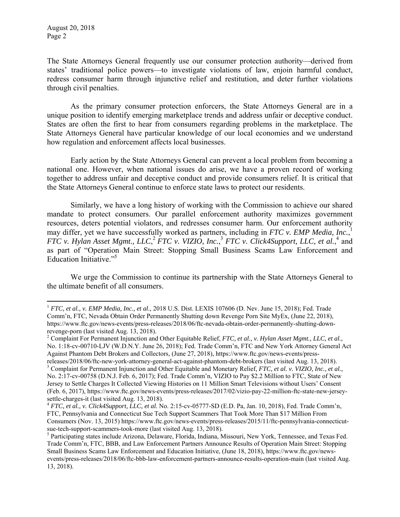1

The State Attorneys General frequently use our consumer protection authority—derived from states' traditional police powers—to investigate violations of law, enjoin harmful conduct, redress consumer harm through injunctive relief and restitution, and deter further violations through civil penalties.

As the primary consumer protection enforcers, the State Attorneys General are in a unique position to identify emerging marketplace trends and address unfair or deceptive conduct. States are often the first to hear from consumers regarding problems in the marketplace. The State Attorneys General have particular knowledge of our local economies and we understand how regulation and enforcement affects local businesses.

Early action by the State Attorneys General can prevent a local problem from becoming a national one. However, when national issues do arise, we have a proven record of working together to address unfair and deceptive conduct and provide consumers relief. It is critical that the State Attorneys General continue to enforce state laws to protect our residents.

Similarly, we have a long history of working with the Commission to achieve our shared mandate to protect consumers. Our parallel enforcement authority maximizes government resources, deters potential violators, and redresses consumer harm. Our enforcement authority may differ, yet we have successfully worked as partners, including in *FTC v. EMP Media, Inc.*, 1 *FTC v. Hylan Asset Mgmt., LLC*,<sup>2</sup> *FTC v. VIZIO, Inc.*,<sup>3</sup> *FTC v. Click4Support, LLC, et al.*,<sup>4</sup> and as part of "Operation Main Street: Stopping Small Business Scams Law Enforcement and Education Initiative."5

We urge the Commission to continue its partnership with the State Attorneys General to the ultimate benefit of all consumers.

<sup>1</sup> *FTC, et al., v. EMP Media, Inc., et al.,* 2018 U.S. Dist. LEXIS 107606 (D. Nev. June 15, 2018); Fed. Trade Comm'n, FTC, Nevada Obtain Order Permanently Shutting down Revenge Porn Site MyEx, (June 22, 2018), https://www.ftc.gov/news-events/press-releases/2018/06/ftc-nevada-obtain-order-permanently-shutting-downrevenge-porn (last visited Aug. 13, 2018).

<sup>2</sup> Complaint For Permanent Injunction and Other Equitable Relief, *FTC, et al., v. Hylan Asset Mgmt., LLC, et al.,* No. 1:18-cv-00710-LJV (W.D.N.Y. June 26, 2018); Fed. Trade Comm'n, FTC and New York Attorney General Act Against Phantom Debt Brokers and Collectors, (June 27, 2018), https://www.ftc.gov/news-events/pressreleases/2018/06/ftc-new-york-attorney-general-act-against-phantom-debt-brokers (last visited Aug. 13, 2018).

<sup>&</sup>lt;sup>3</sup> Complaint for Permanent Injunction and Other Equitable and Monetary Relief, *FTC, et al. v. VIZIO, Inc., et al.*, No. 2:17-cv-00758 (D.N.J. Feb. 6, 2017); Fed. Trade Comm'n, VIZIO to Pay \$2.2 Million to FTC, State of New Jersey to Settle Charges It Collected Viewing Histories on 11 Million Smart Televisions without Users' Consent (Feb. 6, 2017), https://www.ftc.gov/news-events/press-releases/2017/02/vizio-pay-22-million-ftc-state-new-jerseysettle-charges-it (last visited Aug. 13, 2018).<br><sup>4</sup> *FTC, et al., v. Click4Support, LLC, et al.* No. 2:15-cv-05777-SD (E.D. Pa, Jan. 10, 2018), Fed. Trade Comm'n,

FTC, Pennsylvania and Connecticut Sue Tech Support Scammers That Took More Than \$17 Million From Consumers (Nov. 13, 2015) https://www.ftc.gov/news-events/press-releases/2015/11/ftc-pennsylvania-connecticutsue-tech-support-scammers-took-more (last visited Aug. 13, 2018).

<sup>&</sup>lt;sup>5</sup> Participating states include Arizona, Delaware, Florida, Indiana, Missouri, New York, Tennessee, and Texas Fed. Trade Comm'n, FTC, BBB, and Law Enforcement Partners Announce Results of Operation Main Street: Stopping Small Business Scams Law Enforcement and Education Initiative, (June 18, 2018), https://www.ftc.gov/newsevents/press-releases/2018/06/ftc-bbb-law-enforcement-partners-announce-results-operation-main (last visited Aug. 13, 2018).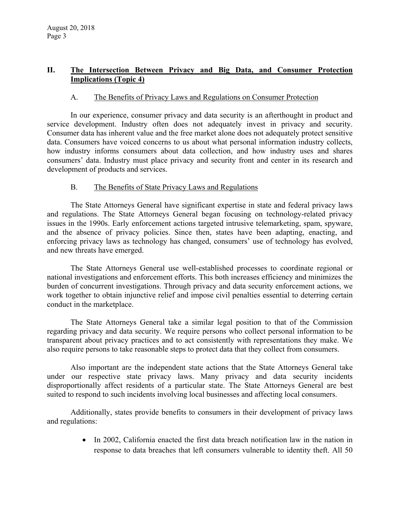# **II. The Intersection Between Privacy and Big Data, and Consumer Protection Implications (Topic 4)**

## A. The Benefits of Privacy Laws and Regulations on Consumer Protection

In our experience, consumer privacy and data security is an afterthought in product and service development. Industry often does not adequately invest in privacy and security. Consumer data has inherent value and the free market alone does not adequately protect sensitive data. Consumers have voiced concerns to us about what personal information industry collects, how industry informs consumers about data collection, and how industry uses and shares consumers' data. Industry must place privacy and security front and center in its research and development of products and services.

## B. The Benefits of State Privacy Laws and Regulations

The State Attorneys General have significant expertise in state and federal privacy laws and regulations. The State Attorneys General began focusing on technology-related privacy issues in the 1990s. Early enforcement actions targeted intrusive telemarketing, spam, spyware, and the absence of privacy policies. Since then, states have been adapting, enacting, and enforcing privacy laws as technology has changed, consumers' use of technology has evolved, and new threats have emerged.

The State Attorneys General use well-established processes to coordinate regional or national investigations and enforcement efforts. This both increases efficiency and minimizes the burden of concurrent investigations. Through privacy and data security enforcement actions, we work together to obtain injunctive relief and impose civil penalties essential to deterring certain conduct in the marketplace.

The State Attorneys General take a similar legal position to that of the Commission regarding privacy and data security. We require persons who collect personal information to be transparent about privacy practices and to act consistently with representations they make. We also require persons to take reasonable steps to protect data that they collect from consumers.

Also important are the independent state actions that the State Attorneys General take under our respective state privacy laws. Many privacy and data security incidents disproportionally affect residents of a particular state. The State Attorneys General are best suited to respond to such incidents involving local businesses and affecting local consumers.

Additionally, states provide benefits to consumers in their development of privacy laws and regulations:

> • In 2002, California enacted the first data breach notification law in the nation in response to data breaches that left consumers vulnerable to identity theft. All 50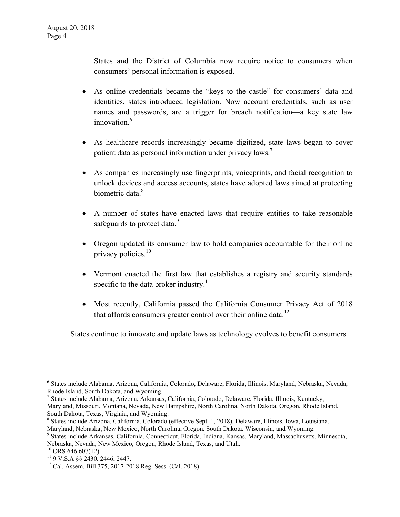States and the District of Columbia now require notice to consumers when consumers' personal information is exposed.

- As online credentials became the "keys to the castle" for consumers' data and identities, states introduced legislation. Now account credentials, such as user names and passwords, are a trigger for breach notification—a key state law innovation.<sup>6</sup>
- As healthcare records increasingly became digitized, state laws began to cover patient data as personal information under privacy laws.<sup>7</sup>
- As companies increasingly use fingerprints, voiceprints, and facial recognition to unlock devices and access accounts, states have adopted laws aimed at protecting biometric data.<sup>8</sup>
- A number of states have enacted laws that require entities to take reasonable safeguards to protect data.<sup>9</sup>
- Oregon updated its consumer law to hold companies accountable for their online privacy policies.<sup>10</sup>
- Vermont enacted the first law that establishes a registry and security standards specific to the data broker industry.<sup>11</sup>
- Most recently, California passed the California Consumer Privacy Act of 2018 that affords consumers greater control over their online data.<sup>12</sup>

States continue to innovate and update laws as technology evolves to benefit consumers.

7 States include Alabama, Arizona, Arkansas, California, Colorado, Delaware, Florida, Illinois, Kentucky, Maryland, Missouri, Montana, Nevada, New Hampshire, North Carolina, North Dakota, Oregon, Rhode Island, South Dakota, Texas, Virginia, and Wyoming.

9 States include Arkansas, California, Connecticut, Florida, Indiana, Kansas, Maryland, Massachusetts, Minnesota, Nebraska, Nevada, New Mexico, Oregon, Rhode Island, Texas, and Utah.

 $\overline{a}$ 

<sup>6</sup> States include Alabama, Arizona, California, Colorado, Delaware, Florida, Illinois, Maryland, Nebraska, Nevada, Rhode Island, South Dakota, and Wyoming.

<sup>8</sup> States include Arizona, California, Colorado (effective Sept. 1, 2018), Delaware, Illinois, Iowa, Louisiana, Maryland, Nebraska, New Mexico, North Carolina, Oregon, South Dakota, Wisconsin, and Wyoming.

 $10$  ORS 646.607(12).

<sup>11 9</sup> V.S.A §§ 2430, 2446, 2447.

<sup>&</sup>lt;sup>12</sup> Cal. Assem. Bill 375, 2017-2018 Reg. Sess. (Cal. 2018).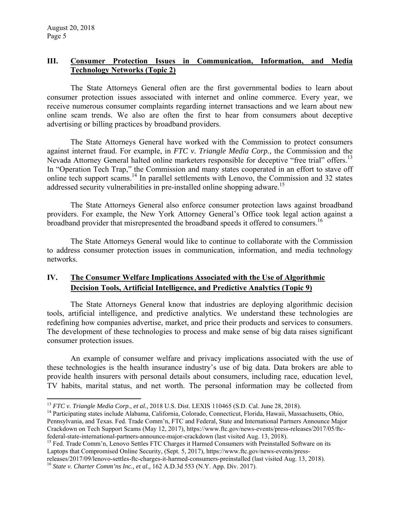## **III. Consumer Protection Issues in Communication, Information, and Media Technology Networks (Topic 2)**

The State Attorneys General often are the first governmental bodies to learn about consumer protection issues associated with internet and online commerce. Every year, we receive numerous consumer complaints regarding internet transactions and we learn about new online scam trends. We also are often the first to hear from consumers about deceptive advertising or billing practices by broadband providers.

The State Attorneys General have worked with the Commission to protect consumers against internet fraud. For example, in *FTC v. Triangle Media Corp.*, the Commission and the Nevada Attorney General halted online marketers responsible for deceptive "free trial" offers.<sup>13</sup> In "Operation Tech Trap," the Commission and many states cooperated in an effort to stave off online tech support scams.14 In parallel settlements with Lenovo, the Commission and 32 states addressed security vulnerabilities in pre-installed online shopping adware.<sup>15</sup>

The State Attorneys General also enforce consumer protection laws against broadband providers. For example, the New York Attorney General's Office took legal action against a broadband provider that misrepresented the broadband speeds it offered to consumers.<sup>16</sup>

The State Attorneys General would like to continue to collaborate with the Commission to address consumer protection issues in communication, information, and media technology networks.

# **IV. The Consumer Welfare Implications Associated with the Use of Algorithmic Decision Tools, Artificial Intelligence, and Predictive Analytics (Topic 9)**

The State Attorneys General know that industries are deploying algorithmic decision tools, artificial intelligence, and predictive analytics. We understand these technologies are redefining how companies advertise, market, and price their products and services to consumers. The development of these technologies to process and make sense of big data raises significant consumer protection issues.

An example of consumer welfare and privacy implications associated with the use of these technologies is the health insurance industry's use of big data. Data brokers are able to provide health insurers with personal details about consumers, including race, education level, TV habits, marital status, and net worth. The personal information may be collected from

<sup>15</sup> Fed. Trade Comm'n, Lenovo Settles FTC Charges it Harmed Consumers with Preinstalled Software on its Laptops that Compromised Online Security, (Sept. 5, 2017), https://www.ftc.gov/news-events/press-

 $\overline{a}$ <sup>13</sup> *FTC v. Triangle Media Corp., et al.,* 2018 U.S. Dist. LEXIS 110465 (S.D. Cal. June 28, 2018).<br><sup>14</sup> Participating states include Alabama, California, Colorado, Connecticut, Florida, Hawaii, Massachusetts, Ohio,

Pennsylvania, and Texas. Fed. Trade Comm'n, FTC and Federal, State and International Partners Announce Major Crackdown on Tech Support Scams (May 12, 2017), https://www.ftc.gov/news-events/press-releases/2017/05/ftcfederal-state-international-partners-announce-major-crackdown (last visited Aug. 13, 2018).

releases/2017/09/lenovo-settles-ftc-charges-it-harmed-consumers-preinstalled (last visited Aug. 13, 2018). <sup>16</sup> *State v. Charter Comm'ns Inc., et al.,* 162 A.D.3d 553 (N.Y. App. Div. 2017).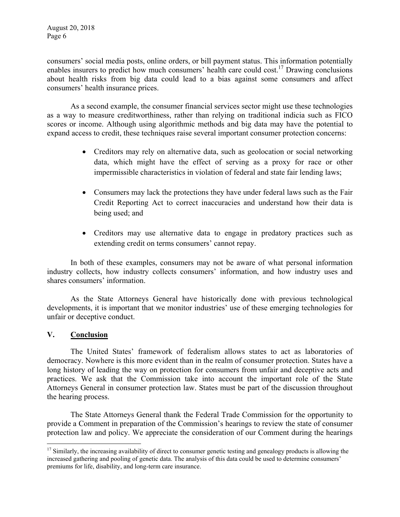consumers' social media posts, online orders, or bill payment status. This information potentially enables insurers to predict how much consumers' health care could cost.<sup>17</sup> Drawing conclusions about health risks from big data could lead to a bias against some consumers and affect consumers' health insurance prices.

As a second example, the consumer financial services sector might use these technologies as a way to measure creditworthiness, rather than relying on traditional indicia such as FICO scores or income. Although using algorithmic methods and big data may have the potential to expand access to credit, these techniques raise several important consumer protection concerns:

- Creditors may rely on alternative data, such as geolocation or social networking data, which might have the effect of serving as a proxy for race or other impermissible characteristics in violation of federal and state fair lending laws;
- Consumers may lack the protections they have under federal laws such as the Fair Credit Reporting Act to correct inaccuracies and understand how their data is being used; and
- Creditors may use alternative data to engage in predatory practices such as extending credit on terms consumers' cannot repay.

In both of these examples, consumers may not be aware of what personal information industry collects, how industry collects consumers' information, and how industry uses and shares consumers' information.

As the State Attorneys General have historically done with previous technological developments, it is important that we monitor industries' use of these emerging technologies for unfair or deceptive conduct.

#### **V. Conclusion**

The United States' framework of federalism allows states to act as laboratories of democracy. Nowhere is this more evident than in the realm of consumer protection. States have a long history of leading the way on protection for consumers from unfair and deceptive acts and practices. We ask that the Commission take into account the important role of the State Attorneys General in consumer protection law. States must be part of the discussion throughout the hearing process.

The State Attorneys General thank the Federal Trade Commission for the opportunity to provide a Comment in preparation of the Commission's hearings to review the state of consumer protection law and policy. We appreciate the consideration of our Comment during the hearings

 $\overline{a}$  $17$  Similarly, the increasing availability of direct to consumer genetic testing and genealogy products is allowing the increased gathering and pooling of genetic data. The analysis of this data could be used to determine consumers' premiums for life, disability, and long-term care insurance.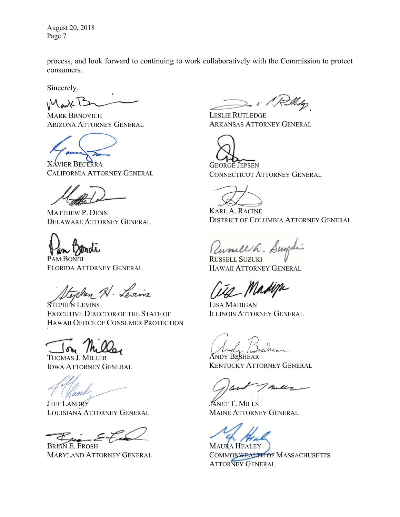August 20, 2018 Page 7

process, and look forward to continuing to work collaboratively with the Commission to protect consumers.

Sincerely,

 $M$ auk  $15$ 

MARK BRNOVICH ARIZONA ATTORNEY GENERAL

VIER BECERRA CALIFORNIA ATTORNEY GENERAL

MATTHEW P. DENN DELAWARE ATTORNEY GENERAL



PAM BONDI FLORIDA ATTORNEY GENERAL

texten Al-Levins

STEPHEN LEVINS EXECUTIVE DIRECTOR OF THE STATE OF HAWAII OFFICE OF CONSUMER PROTECTION

THOMAS J. MILLER IOWA ATTORNEY GENERAL

hand

**JEFF LANDRY** LOUISIANA ATTORNEY GENERAL

BRIAN E. FROSH MARYLAND ATTORNEY GENERAL

De i l'. F.

LESLIE RUTLEDGE ARKANSAS ATTORNEY GENERAL

GEORGE JEPSEN CONNECTICUT ATTORNEY GENERAL

KARL A. RACINE DISTRICT OF COLUMBIA ATTORNEY GENERAL

Unsell h. Sugali

RUSSELL SUZUKI HAWAII ATTORNEY GENERAL

2 Madipi

LISA MADIGAN ILLINOIS ATTORNEY GENERAL

ANDY BESHEAR KENTUCKY ATTORNEY GENERAL

mills\_

JANET T. MILLS MAINE ATTORNEY GENERAL

MAURA HEALEY COMMONWEALTH OF MASSACHUSETTS ATTORNEY GENERAL